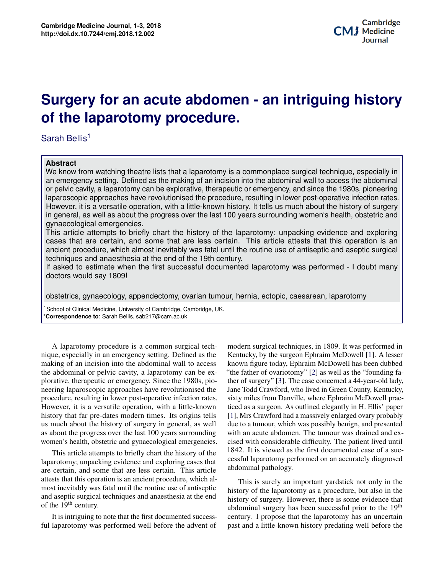## **Potential Applications of Three-dimensional biography for an above absoluter care mangeing motory Surgery for an acute abdomen - an intriguing history**

Sarah Bellis<sup>1</sup>

## **Abstract**

We know from watching theatre lists that a laparotomy is a commonplace surgical technique, especially in an emergency setting. Defined as the making of an incision into the abdominal wall to access the abdominal or pelvic cavity, a laparotomy can be explorative, therapeutic or emergency, and since the 1980s, pioneering laparoscopic approaches have revolutionised the procedure, resulting in lower post-operative infection rates. However, it is a versatile operation, with a little-known history. It tells us much about the history of surgery in general, as well as about the progress over the last 100 years surrounding women's health, obstetric and gynaecological emergencies.

nce and exploring<br>is operation is an<br>ad acaptic surrisol This article attempts to briefly chart the history of the laparotomy; unpacking evidence and exploring cases that are certain, and some that are less certain. This article attests that this operation is an ancient procedure, which almost inevitably was fatal until the routine use of antiseptic and aseptic surgical techniques and anaesthesia at the end of the 19th century.

 $b$ iany  $\Big|$ If asked to estimate when the first successful documented laparotomy was performed - I doubt many doctors would say 1809!

obstetrics, gynaecology, appendectomy, ovarian tumour, hernia, ectopic, caesarean, laparotomy

<sup>1</sup> School of Clinical Medicine, University of Cambridge, Cambridge, UK. \***Correspondence to**: Sarah Bellis, sab217@cam.ac.uk

as about the progress over the last 100 years surrounding A laparotomy procedure is a common surgical technique, especially in an emergency setting. Defined as the making of an incision into the abdominal wall to access the abdominal or pelvic cavity, a laparotomy can be explorative, therapeutic or emergency. Since the 1980s, pioneering laparoscopic approaches have revolutionised the procedure, resulting in lower post-operative infection rates. However, it is a versatile operation, with a little-known history that far pre-dates modern times. Its origins tells us much about the history of surgery in general, as well women's health, obstetric and gynaecological emergencies.

**1** This article attempts to briefly chart the history of the **2 COVERG 2 COVERG 2 COVERGING 2 COVERGING 2 COVERGING 2 COVERGING 2 COVERGING 2 COVERGING 2 COVERGING 2 COVERGING 2 COVERGING 2 COVERGING 2 COVERGING** attests that this operation is an ancient procedure, which al-**4 Discussion 3** and aseptic surgical techniques and anaesthesia at the end of the  $19<sup>th</sup>$  century. laparotomy; unpacking evidence and exploring cases that most inevitably was fatal until the routine use of antiseptic

It is intriguing to note that the first documented successful laparotomy was performed well before the advent of

ther of surgery" [3]. The case concerned a 44-year-old lady,<br>Jane Todd Crawford, who lived in Green County, Kentucky, It can be a surgeon. This buttined elegantly in 11, Ellis paper<br>[\[1\]](#page-2-0), Mrs Crawford had a massively enlarged ovary probably due to a tumour, which was possibly benign, and presented<br>with an equite ab domain. The tumour was drained and an described the *in vitro methods which made the and methods which made the*<br>and in virtual methods with considerable difficulty. The patient lived until of the  $1842$ . It is viewed as the first documented case of a suc-<br>cossful laparotomy performed on an accurately diagnosed which suggests increasing the speed of  $\mathcal{L}$ *Culture of Organss* with an acute abdomen. The tumour was drained and exessful laparotomy performed on an accurately diagnosed<br>abdominal pathology.  $F_{\text{tric}}$  and  $F_{\text{peric}}$  is equal day, see the 1980s to present day, see the 1980s to present day, see the 1980s to present day, see the 1980s to present day, see the 1980s to present day, see the 1980s to present day, s modern surgical techniques, in 1809. It was performed in Kentucky, by the surgeon Ephraim McDowell [\[1\]](#page-2-0). A lesser known figure today, Ephraim McDowell has been dubbed "the father of ovariotomy" [\[2\]](#page-2-1) as well as the "founding father of surgery" [\[3\]](#page-2-2). The case concerned a 44-year-old lady, sixty miles from Danville, where Ephraim McDowell practiced as a surgeon. As outlined elegantly in H. Ellis' paper abdominal pathology.

ich al-<br>antic This is surely an important yardstick not only in the is a procedure, but also in the exciting procedure, but also in the  $\cdot$ abdominal surgery has been successful prior to the 19<sup>th</sup> exterming the propose that the taparolony has an uncertain ent of past and a little-known history predating well before the sepuchasion below the laparotomy as a procedure, but also in the  $\frac{1}{2}$ le end<br>history of surgery. However, there is some evidence that<br>history of surgery. here heave averages in reject to the 10<sup>th</sup> the determinant surgery has been successful prior to the 19<br>incress-<br>century. I propose that the laparotomy has an uncertain medicine, bioprinting is beginning to play a role in regener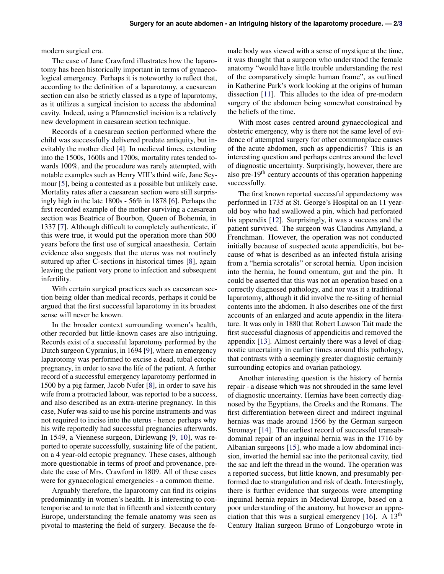modern surgical era.

The case of Jane Crawford illustrates how the laparotomy has been historically important in terms of gynaecological emergency. Perhaps it is noteworthy to reflect that, according to the definition of a laparotomy, a caesarean section can also be strictly classed as a type of laparotomy, as it utilizes a surgical incision to access the abdominal cavity. Indeed, using a Pfannenstiel incision is a relatively new development in caesarean section technique.

Records of a caesarean section performed where the child was successfully delivered predate antiquity, but inevitably the mother died [\[4\]](#page-2-4). In medieval times, extending into the 1500s, 1600s and 1700s, mortality rates tended towards 100%, and the procedure was rarely attempted, with notable examples such as Henry VIII's third wife, Jane Seymour [\[5\]](#page-2-5), being a contested as a possible but unlikely case. Mortality rates after a caesarean section were still surprisingly high in the late 1800s - 56% in 1878 [\[6\]](#page-2-6). Perhaps the first recorded example of the mother surviving a caesarean section was Beatrice of Bourbon, Queen of Bohemia, in 1337 [\[7\]](#page-2-7). Although difficult to completely authenticate, if this were true, it would put the operation more than 500 years before the first use of surgical anaesthesia. Certain evidence also suggests that the uterus was not routinely sutured up after C-sections in historical times [\[8\]](#page-2-8), again leaving the patient very prone to infection and subsequent infertility.

With certain surgical practices such as caesarean section being older than medical records, perhaps it could be argued that the first successful laparotomy in its broadest sense will never be known.

In the broader context surrounding women's health, other recorded but little-known cases are also intriguing. Records exist of a successful laparotomy performed by the Dutch surgeon Cypranius, in 1694 [\[9\]](#page-2-9), where an emergency laparotomy was performed to excise a dead, tubal ectopic pregnancy, in order to save the life of the patient. A further record of a successful emergency laparotomy performed in 1500 by a pig farmer, Jacob Nufer [\[8\]](#page-2-8), in order to save his wife from a protracted labour, was reported to be a success, and also described as an extra-uterine pregnancy. In this case, Nufer was said to use his porcine instruments and was not required to incise into the uterus - hence perhaps why his wife reportedly had successful pregnancies afterwards. In 1549, a Viennese surgeon, Dirlewang [\[9,](#page-2-9) [10\]](#page-2-10), was reported to operate successfully, sustaining life of the patient, on a 4 year-old ectopic pregnancy. These cases, although more questionable in terms of proof and provenance, predate the case of Mrs. Crawford in 1809. All of these cases were for gynaecological emergencies - a common theme.

Arguably therefore, the laparotomy can find its origins predominantly in women's health. It is interesting to contemporise and to note that in fifteenth and sixteenth century Europe, understanding the female anatomy was seen as pivotal to mastering the field of surgery. Because the female body was viewed with a sense of mystique at the time, it was thought that a surgeon who understood the female anatomy "would have little trouble understanding the rest of the comparatively simple human frame", as outlined in Katherine Park's work looking at the origins of human dissection [\[11\]](#page-2-11). This alludes to the idea of pre-modern surgery of the abdomen being somewhat constrained by the beliefs of the time.

With most cases centred around gynaecological and obstetric emergency, why is there not the same level of evidence of attempted surgery for other commonplace causes of the acute abdomen, such as appendicitis? This is an interesting question and perhaps centres around the level of diagnostic uncertainty. Surprisingly, however, there are also pre-19<sup>th</sup> century accounts of this operation happening successfully.

The first known reported successful appendectomy was performed in 1735 at St. George's Hospital on an 11 yearold boy who had swallowed a pin, which had perforated his appendix [\[12\]](#page-2-12). Surprisingly, it was a success and the patient survived. The surgeon was Claudius Amyland, a Frenchman. However, the operation was not conducted initially because of suspected acute appendicitis, but because of what is described as an infected fistula arising from a "hernia scrotalis" or scrotal hernia. Upon incision into the hernia, he found omentum, gut and the pin. It could be asserted that this was not an operation based on a correctly diagnosed pathology, and nor was it a traditional laparotomy, although it did involve the re-siting of hernial contents into the abdomen. It also describes one of the first accounts of an enlarged and acute appendix in the literature. It was only in 1880 that Robert Lawson Tait made the first successful diagnosis of appendicitis and removed the appendix [\[13\]](#page-2-13). Almost certainly there was a level of diagnostic uncertainty in earlier times around this pathology, that contrasts with a seemingly greater diagnostic certainly surrounding ectopics and ovarian pathology.

Another interesting question is the history of hernia repair - a disease which was not shrouded in the same level of diagnostic uncertainty. Hernias have been correctly diagnosed by the Egyptians, the Greeks and the Romans. The first differentiation between direct and indirect inguinal hernias was made around 1566 by the German surgeon Stromayr [\[14\]](#page-2-14). The earliest record of successful transabdominal repair of an inguinal hernia was in the 1716 by Albanian surgeons [\[15\]](#page-2-15), who made a low abdominal incision, inverted the hernial sac into the peritoneal cavity, tied the sac and left the thread in the wound. The operation was a reported success, but little known, and presumably performed due to strangulation and risk of death. Interestingly, there is further evidence that surgeons were attempting inguinal hernia repairs in Medieval Europe, based on a poor understanding of the anatomy, but however an appreciation that this was a surgical emergency  $[16]$ . A  $13<sup>th</sup>$ Century Italian surgeon Bruno of Longoburgo wrote in